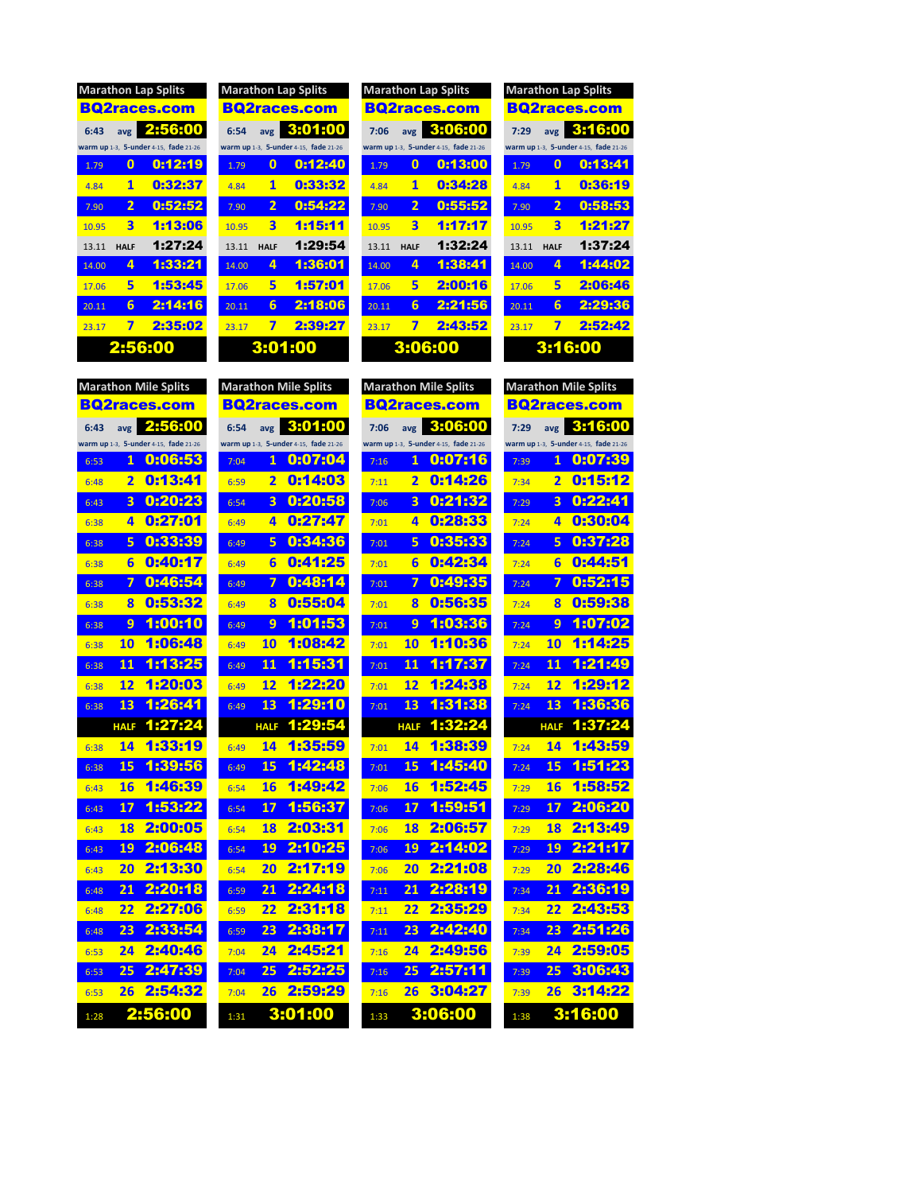| <b>Marathon Lap Splits</b> |             |                                       |  |  |  |  |  |  |
|----------------------------|-------------|---------------------------------------|--|--|--|--|--|--|
| <b>BQ2races.com</b>        |             |                                       |  |  |  |  |  |  |
| 6:43                       |             | avg 2:56:00                           |  |  |  |  |  |  |
|                            |             | warm up 1-3, 5-under 4-15, fade 21-26 |  |  |  |  |  |  |
| 1.79                       | 0           | 0:12:19                               |  |  |  |  |  |  |
| 4.84                       | 1           | 0:32:37                               |  |  |  |  |  |  |
| 7.90                       | 2           | 0:52:52                               |  |  |  |  |  |  |
| 10.95                      | З           | 1:13:06                               |  |  |  |  |  |  |
| 13.11                      | <b>HALF</b> | 1:27:24                               |  |  |  |  |  |  |
| 14.00                      | 4           | 1:33:21                               |  |  |  |  |  |  |
| 17.06                      | 5           | 1:53:45                               |  |  |  |  |  |  |
| 20.11                      | 6           | 2:14:16                               |  |  |  |  |  |  |
| 23.17                      | 7           | 2:35:02                               |  |  |  |  |  |  |
| 2:56:00                    |             |                                       |  |  |  |  |  |  |

|       |                         | <b>Marathon Lap Splits</b>            |                 |  |  |  |  |  |
|-------|-------------------------|---------------------------------------|-----------------|--|--|--|--|--|
|       |                         | <b>BQ2races.com</b>                   | в               |  |  |  |  |  |
| 6:54  | avg                     | 3:01:00                               | 7               |  |  |  |  |  |
|       |                         | warm up 1-3, 5-under 4-15, fade 21-26 | war             |  |  |  |  |  |
| 1.79  | 0                       | 0:12:40                               | $\overline{1}$  |  |  |  |  |  |
| 4.84  | 1                       | 0:33:32                               | 4               |  |  |  |  |  |
| 7.90  | - 2                     | 0:54:22                               | $\overline{7}$  |  |  |  |  |  |
| 10.95 | $\overline{\mathbf{3}}$ | 1:15:11                               | $\overline{10}$ |  |  |  |  |  |
| 13.11 | <b>HALF</b>             | 1:29:54                               | 1:              |  |  |  |  |  |
| 14.00 | 4                       | 1:36:01                               | 14              |  |  |  |  |  |
| 17.06 | 5                       | 1:57:01                               | $1^{\circ}$     |  |  |  |  |  |
| 20.11 | 6                       | 2:18:06                               | $\overline{2}$  |  |  |  |  |  |
| 23.17 | 7                       | 2:39:27                               | 2 <sup>3</sup>  |  |  |  |  |  |
|       | 3:01:00                 |                                       |                 |  |  |  |  |  |
|       |                         |                                       |                 |  |  |  |  |  |

| <b>Marathon Lap Splits</b> |                         |                                       |       | <b>Marathon Lap Splits</b> |                                       |       | <b>Marathon Lap Splits</b> |                                       |       | <b>Marathon Lap Splits</b> |                                       |  |
|----------------------------|-------------------------|---------------------------------------|-------|----------------------------|---------------------------------------|-------|----------------------------|---------------------------------------|-------|----------------------------|---------------------------------------|--|
|                            |                         | <b>BQ2races.com</b>                   |       |                            | <b>BQ2races.com</b>                   |       |                            | <b>BQ2races.com</b>                   |       |                            | <b>BQ2races.com</b>                   |  |
| 6:43                       | avg                     | 2:56:00                               | 6:54  | avg                        | 3:01:00                               | 7:06  | avg                        | 3:06:00                               | 7:29  | avg                        | 3:16:00                               |  |
|                            |                         | warm up 1-3, 5-under 4-15, fade 21-26 |       |                            | warm up 1-3, 5-under 4-15, fade 21-26 |       |                            | warm up 1-3. 5-under 4-15. fade 21-26 |       |                            | warm up 1-3, 5-under 4-15, fade 21-26 |  |
| 1.79                       | $\bf{0}$                | 0:12:19                               | 1.79  | $\bf{0}$                   | 0:12:40                               | 1.79  | $\bf{0}$                   | 0:13:00                               | 1.79  | $\bf{0}$                   | 0:13:41                               |  |
| 4.84                       | 1                       | 0:32:37                               | 4.84  | 1                          | 0:33:32                               | 4.84  | 1                          | 0:34:28                               | 4.84  | 1                          | 0:36:19                               |  |
| 7.90                       | $\overline{2}$          | 0:52:52                               | 7.90  | $\overline{2}$             | 0:54:22                               | 7.90  | $\overline{2}$             | 0:55:52                               | 7.90  | $\overline{2}$             | 0:58:53                               |  |
| 10.95                      | $\overline{\mathbf{3}}$ | 1:13:06                               | 10.95 | 3                          | 1:15:11                               | 10.95 | $\overline{\mathbf{3}}$    | 1:17:17                               | 10.95 | $\overline{\mathbf{3}}$    | 1:21:27                               |  |
| 13.11                      | <b>HALF</b>             | 1:27:24                               | 13.11 | <b>HALF</b>                | 1:29:54                               | 13.11 | <b>HALF</b>                | 1:32:24                               | 13.11 | <b>HALF</b>                | 1:37:24                               |  |
| 14.00                      | 4                       | 1:33:21                               | 14.00 | 4                          | 1:36:01                               | 14.00 | 4                          | 1:38:41                               | 14.00 | 4                          | 1:44:02                               |  |
| 17.06                      | 5                       | 1:53:45                               | 17.06 | 5                          | 1:57:01                               | 17.06 | 5                          | 2:00:16                               | 17.06 | 5                          | 2:06:46                               |  |
| 20.11                      | 6                       | 2:14:16                               | 20.11 | 6                          | 2:18:06                               | 20.11 | 6                          | 2:21:56                               | 20.11 | 6                          | 2:29:36                               |  |
| 23.17                      | 7                       | 2:35:02                               | 23.17 | 7                          | 2:39:27                               | 23.17 | 7                          | 2:43:52                               | 23.17 | 7                          | 2:52:42                               |  |
|                            |                         | 2:56:00                               |       | 3:01:00                    |                                       |       |                            | 3:06:00                               |       | 3:16:00                    |                                       |  |

| <b>Marathon Mile Splits</b><br><b>Marathon Mile Splits</b> |                                       |      |                         |                                       |      |             | <b>Marathon Mile Splits</b>           | <b>Marathon Mile Splits</b> |                         |                                       |  |
|------------------------------------------------------------|---------------------------------------|------|-------------------------|---------------------------------------|------|-------------|---------------------------------------|-----------------------------|-------------------------|---------------------------------------|--|
|                                                            | <b>BQ2races.com</b>                   |      |                         | <b>BQ2races.com</b>                   |      |             | <b>BQ2races.com</b>                   |                             |                         | <b>BQ2races.com</b>                   |  |
| 6:43<br>avg                                                | 2:56:00                               | 6:54 | avg                     | 3:01:00                               | 7:06 | avg         | 3:06:00                               | 7:29                        | avg                     | 3:16:00                               |  |
|                                                            | warm up 1-3, 5-under 4-15, fade 21-26 |      |                         | warm up 1-3, 5-under 4-15, fade 21-26 |      |             | warm up 1-3, 5-under 4-15, fade 21-26 |                             |                         | warm up 1-3, 5-under 4-15, fade 21-26 |  |
| 6:53                                                       | 0:06:53<br>1                          | 7:04 | 1                       | 0:07:04                               | 7:16 | 1           | 0:07:16                               | 7:39                        | 1                       | 0:07:39                               |  |
| 6:48                                                       | 0:13:41<br>$\overline{\mathbf{2}}$    | 6:59 | $\overline{\mathbf{2}}$ | 0:14:03                               | 7:11 | 2           | 0:14:26                               | 7:34                        | $\overline{\mathbf{2}}$ | 0:15:12                               |  |
| 6:43                                                       | 0:20:23<br>$\overline{\mathbf{3}}$    | 6:54 | 3                       | 0:20:58                               | 7:06 | 3           | 0:21:32                               | 7:29                        | $\overline{\mathbf{3}}$ | 0:22:41                               |  |
| 6:38                                                       | 0:27:01<br>4                          | 6:49 | 4                       | 0:27:47                               | 7:01 | 4           | 0:28:33                               | 7:24                        | 4                       | 0:30:04                               |  |
| 6:38                                                       | 0:33:39<br>5                          | 6:49 | 5                       | 0:34:36                               | 7:01 | 5           | 0:35:33                               | 7:24                        | 5                       | 0:37:28                               |  |
| 6:38                                                       | 0:40:17<br>6                          | 6:49 | 6                       | 0:41:25                               | 7:01 | 6           | 0:42:34                               | 7:24                        | 6                       | 0:44:51                               |  |
| 6:38                                                       | 0:46:54<br>7                          | 6:49 | 7                       | 0:48:14                               | 7:01 | 7           | 0:49:35                               | 7:24                        | 7                       | 0:52:15                               |  |
| 6:38                                                       | 0:53:32<br>8                          | 6:49 | 8                       | 0:55:04                               | 7:01 | 8           | 0:56:35                               | 7:24                        | 8                       | 0:59:38                               |  |
| 6:38                                                       | 1:00:10<br>9                          | 6:49 | 9                       | 1:01:53                               | 7:01 | 9           | 1:03:36                               | 7:24                        | 9                       | 1:07:02                               |  |
| 10<br>6:38                                                 | 1:06:48                               | 6:49 | 10                      | 1:08:42                               | 7:01 | 10          | 1:10:36                               | 7:24                        | 10                      | 1:14:25                               |  |
| 11<br>6:38                                                 | 1:13:25                               | 6:49 | 11                      | 1:15:31                               | 7:01 | 11          | 1:17:37                               | 7:24                        | 11                      | 1:21:49                               |  |
| 12<br>6:38                                                 | 1:20:03                               | 6:49 | 12                      | 1:22:20                               | 7:01 | 12          | 1:24:38                               | 7:24                        | 12                      | 1:29:12                               |  |
| 13<br>6:38                                                 | 1:26:41                               | 6:49 | 13                      | 1:29:10                               | 7:01 | 13          | 1:31:38                               | 7:24                        | 13                      | 1:36:36                               |  |
| <b>HALF</b>                                                | 1:27:24                               |      | <b>HALF</b>             | 1:29:54                               |      | <b>HALF</b> | 1:32:24                               |                             | <b>HALF</b>             | 1:37:24                               |  |
| 14<br>6:38                                                 | 1:33:19                               | 6:49 | 14                      | 1:35:59                               | 7:01 | 14          | 1:38:39                               | 7:24                        | 14                      | 1:43:59                               |  |
| 15<br>6:38                                                 | 1:39:56                               | 6:49 | 15                      | 1:42:48                               | 7:01 | 15          | 1:45:40                               | 7:24                        | 15                      | 1:51:23                               |  |
| 16<br>6:43                                                 | 1:46:39                               | 6:54 | 16                      | 1:49:42                               | 7:06 | 16          | 1:52:45                               | 7:29                        | 16                      | 1:58:52                               |  |
| 17<br>6:43                                                 | 1:53:22                               | 6:54 | 17                      | 1:56:37                               | 7:06 | 17          | 1:59:51                               | 7:29                        | 17                      | 2:06:20                               |  |
| 18<br>6:43                                                 | 2:00:05                               | 6:54 | 18                      | 2:03:31                               | 7:06 | 18          | 2:06:57                               | 7:29                        | 18                      | 2:13:49                               |  |
| 6:43                                                       | 2:06:48<br>19                         | 6:54 | 19                      | 2:10:25                               | 7:06 | 19          | 2:14:02                               | 7:29                        | 19                      | 2:21:17                               |  |
| 6:43                                                       | 2:13:30<br>20                         | 6:54 | 20                      | 2:17:19                               | 7:06 | 20          | 2:21:08                               | 7:29                        | 20                      | 2:28:46                               |  |
| 21<br>6:48                                                 | 2:20:18                               | 6:59 | 21                      | 2:24:18                               | 7:11 | 21          | 2:28:19                               | 7:34                        | 21                      | 2:36:19                               |  |
| 22<br>6:48                                                 | 2:27:06                               | 6:59 | 22                      | 2:31:18                               | 7:11 | 22          | 2:35:29                               | 7:34                        | 22                      | 2:43:53                               |  |
| 23<br>6:48                                                 | 2:33:54                               | 6:59 | 23                      | 2:38:17                               | 7:11 | 23          | 2:42:40                               | 7:34                        | 23                      | 2:51:26                               |  |
| 24<br>6:53                                                 | 2:40:46                               | 7:04 | 24                      | 2:45:21                               | 7:16 | 24          | 2:49:56                               | 7:39                        | 24                      | 2:59:05                               |  |
| 25<br>6:53                                                 | 2:47:39                               | 7:04 | 25                      | 2:52:25                               | 7:16 | 25          | 2:57:11                               | 7:39                        | 25                      | 3:06:43                               |  |
| 26<br>6:53                                                 | 2:54:32                               | 7:04 | 26                      | 2:59:29                               | 7:16 | 26          | 3:04:27                               | 7:39                        | 26                      | 3:14:22                               |  |
| 1:28                                                       | 2:56:00                               | 1:31 |                         | 3:01:00                               | 1:33 |             | 3:06:00                               | 1:38                        |                         | 3:16:00                               |  |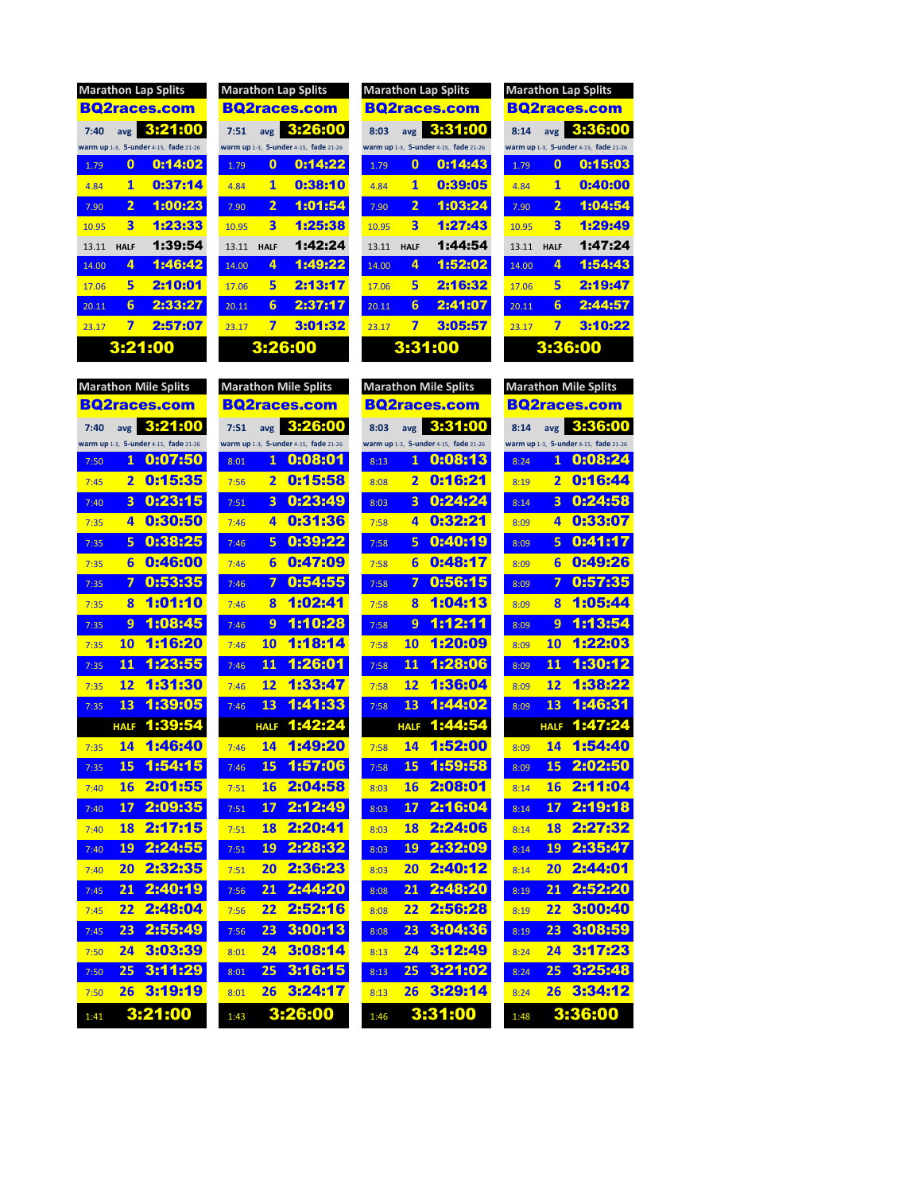| <b>Marathon Lap Splits</b> |             |                                       |  |  |  |  |  |  |
|----------------------------|-------------|---------------------------------------|--|--|--|--|--|--|
| <b>BQ2races.com</b>        |             |                                       |  |  |  |  |  |  |
| 7:40                       |             | avg 3:21:00                           |  |  |  |  |  |  |
|                            |             | warm up 1-3, 5-under 4-15, fade 21-26 |  |  |  |  |  |  |
| 1.79                       | 0           | 0:14:02                               |  |  |  |  |  |  |
| 4.84                       | 1           | 0:37:14                               |  |  |  |  |  |  |
| 7.90                       | 2           | 1:00:23                               |  |  |  |  |  |  |
| 10.95                      | 3           | 1:23:33                               |  |  |  |  |  |  |
| 13.11                      | <b>HALF</b> | 1:39:54                               |  |  |  |  |  |  |
| 14.00                      | 4           | 1:46:42                               |  |  |  |  |  |  |
| 17.06                      | 5           | 2:10:01                               |  |  |  |  |  |  |
| 20.11                      | 6           | 2:33:27                               |  |  |  |  |  |  |
| 23.17                      | 7           | 2:57:07                               |  |  |  |  |  |  |
| 3:21:00                    |             |                                       |  |  |  |  |  |  |

|       |                         | <b>Marathon Lap Splits</b>            | Mara   |
|-------|-------------------------|---------------------------------------|--------|
|       |                         | <b>BQ2races.com</b>                   | BQ     |
| 7:51  |                         | avg $3:26:00$                         | 8:03   |
|       |                         | warm up 1-3, 5-under 4-15, fade 21-26 | warm u |
| 1.79  | 0                       | 0:14:22                               | 1.79   |
| 4.84  | 1                       | 0:38:10                               | 4.84   |
| 7.90  | $\mathbf{2}$            | 1:01:54                               | 7.90   |
| 10.95 | $\overline{\mathbf{3}}$ | 1:25:38                               | 10.95  |
| 13.11 | <b>HALF</b>             | 1:42:24                               | 13.11  |
| 14.00 | 4                       | 1:49:22                               | 14.00  |
| 17.06 | 5                       | 2:13:17                               | 17.06  |
| 20.11 | 6                       | 2:37:17                               | 20.11  |
| 23.17 | 7                       | 3:01:32                               | 23.17  |
|       |                         | 3:26:00                               |        |
|       |                         |                                       |        |

| <b>Marathon Lap Splits</b><br><b>Marathon Lap Splits</b> |                         |                                       |       |                |                                       | <b>Marathon Lap Splits</b> |                         |                                       | <b>Marathon Lap Splits</b> |                         |                                       |
|----------------------------------------------------------|-------------------------|---------------------------------------|-------|----------------|---------------------------------------|----------------------------|-------------------------|---------------------------------------|----------------------------|-------------------------|---------------------------------------|
|                                                          |                         | <b>BQ2races.com</b>                   |       |                | <b>BQ2races.com</b>                   |                            |                         | <b>BQ2races.com</b>                   |                            |                         | <b>BQ2races.com</b>                   |
| 7:40                                                     | avg                     | 3:21:00                               | 7:51  | avg            | 3:26:00                               | 8:03                       | avg                     | 3:31:00                               | 8:14                       | avg                     | 3:36:00                               |
|                                                          |                         | warm up 1-3, 5-under 4-15, fade 21-26 |       |                | warm up 1-3. 5-under 4-15. fade 21-26 |                            |                         | warm up 1-3. 5-under 4-15. fade 21-26 |                            |                         | warm up 1-3, 5-under 4-15, fade 21-26 |
| 1.79                                                     | $\bf{0}$                | 0:14:02                               | 1.79  | $\bf{0}$       | 0:14:22                               | 1.79                       | $\bf{0}$                | 0:14:43                               | 1.79                       | $\bf{0}$                | 0:15:03                               |
| 4.84                                                     | 1                       | 0:37:14                               | 4.84  | 1              | 0:38:10                               | 4.84                       | 1                       | 0:39:05                               | 4.84                       | 1                       | 0:40:00                               |
| 7.90                                                     | $\overline{2}$          | 1:00:23                               | 7.90  | $\overline{2}$ | 1:01:54                               | 7.90                       | $\overline{2}$          | 1:03:24                               | 7.90                       | $\overline{2}$          | 1:04:54                               |
| 10.95                                                    | $\overline{\mathbf{3}}$ | 1:23:33                               | 10.95 | 3              | 1:25:38                               | 10.95                      | $\overline{\mathbf{3}}$ | 1:27:43                               | 10.95                      | $\overline{\mathbf{3}}$ | 1:29:49                               |
| 13.11                                                    | <b>HALF</b>             | 1:39:54                               | 13.11 | <b>HALF</b>    | 1:42:24                               | 13.11                      | <b>HALF</b>             | 1:44:54                               | 13.11                      | <b>HALF</b>             | 1:47:24                               |
| 14.00                                                    | 4                       | 1:46:42                               | 14.00 | 4              | 1:49:22                               | 14.00                      | 4                       | 1:52:02                               | 14.00                      | 4                       | 1:54:43                               |
| 17.06                                                    | 5                       | 2:10:01                               | 17.06 | 5              | 2:13:17                               | 17.06                      | 5                       | 2:16:32                               | 17.06                      | 5                       | 2:19:47                               |
| 20.11                                                    | 6                       | 2:33:27                               | 20.11 | 6              | 2:37:17                               | 20.11                      | 6                       | 2:41:07                               | 20.11                      | 6                       | 2:44:57                               |
| 23.17                                                    | 7                       | 2:57:07                               | 23 17 | 7              | 3:01:32                               | 23.17                      | 7                       | 3:05:57                               | 23.17                      | 7                       | 3:10:22                               |
|                                                          | 3:21:00                 |                                       |       | 3:26:00        |                                       |                            |                         | 3:31:00                               |                            | 3:36:00                 |                                       |

| <b>Marathon Mile Splits</b>           | <b>Marathon Mile Splits</b>           | <b>Marathon Mile Splits</b>           | <b>Marathon Mile Splits</b>           |  |  |  |
|---------------------------------------|---------------------------------------|---------------------------------------|---------------------------------------|--|--|--|
| <b>BQ2races.com</b>                   | <b>BQ2races.com</b>                   | <b>BQ2races.com</b>                   | <b>BQ2races.com</b>                   |  |  |  |
| 3:21:00                               | 3:26:00                               | 3:31:00                               | 3:36:00                               |  |  |  |
| 7:40                                  | 7:51                                  | 8:03                                  | 8:14                                  |  |  |  |
| avg                                   | avg                                   | avg                                   | avg                                   |  |  |  |
| warm up 1-3, 5-under 4-15, fade 21-26 | warm up 1-3, 5-under 4-15, fade 21-26 | warm up 1-3, 5-under 4-15, fade 21-26 | warm up 1-3, 5-under 4-15, fade 21-26 |  |  |  |
| 0:07:50                               | 0:08:01                               | 0:08:13                               | 0:08:24                               |  |  |  |
| 1                                     | $\mathbf{1}$                          | 1                                     | $\mathbf{1}$                          |  |  |  |
| 7:50                                  | 8:01                                  | 8:13                                  | 8:24                                  |  |  |  |
| 0:15:35                               | 0:15:58                               | 0:16:21                               | 0:16:44                               |  |  |  |
| $\overline{2}$                        | 2                                     | $\overline{\mathbf{2}}$               | $\overline{\mathbf{2}}$               |  |  |  |
| 7:45                                  | 7:56                                  | 8:08                                  | 8:19                                  |  |  |  |
| 0:23:15                               | 0:23:49                               | 0:24:24                               | 0:24:58                               |  |  |  |
| $\overline{\mathbf{3}}$               | 3                                     | 3                                     | $\overline{\mathbf{3}}$               |  |  |  |
| 7:40                                  | 7:51                                  | 8:03                                  | 8:14                                  |  |  |  |
| 0:30:50                               | 0:31:36                               | 0:32:21                               | 0:33:07                               |  |  |  |
| 4                                     | 4                                     | 4                                     | 4                                     |  |  |  |
| 7:35                                  | 7:46                                  | 7:58                                  | 8:09                                  |  |  |  |
| 0:38:25                               | 0:39:22                               | 0:40:19                               | 0:41:17                               |  |  |  |
| 5                                     | 5                                     | 5                                     | 5                                     |  |  |  |
| 7:35                                  | 7:46                                  | 7:58                                  | 8:09                                  |  |  |  |
| 0:46:00                               | 0:47:09                               | 0:48:17                               | 0:49:26                               |  |  |  |
| 6                                     | 6                                     | 6                                     | 6                                     |  |  |  |
| 7:35                                  | 7:46                                  | 7:58                                  | 8:09                                  |  |  |  |
| 0:53:35                               | 0:54:55                               | 0:56:15                               | 0:57:35                               |  |  |  |
| 7                                     | 7                                     | 7                                     | 7                                     |  |  |  |
| 7:35                                  | 7:46                                  | 7:58                                  | 8:09                                  |  |  |  |
| 1:01:10                               | 1:02:41                               | 1:04:13                               | 1:05:44                               |  |  |  |
| $\bf{8}$                              | 8                                     | 8                                     | 8                                     |  |  |  |
| 7:35                                  | 7:46                                  | 7:58                                  | 8:09                                  |  |  |  |
| 1:08:45                               | 1:10:28                               | 1:12:11                               | 1:13:54                               |  |  |  |
| 9                                     | 9                                     | 9                                     | 9                                     |  |  |  |
| 7:35                                  | 7:46                                  | 7:58                                  | 8:09                                  |  |  |  |
| 1:16:20                               | 1:18:14                               | 1:20:09                               | 1:22:03                               |  |  |  |
| 10                                    | 10                                    | 10                                    | 10                                    |  |  |  |
| 7:35                                  | 7:46                                  | 7:58                                  | 8:09                                  |  |  |  |
| 1:23:55                               | 1:26:01                               | 1:28:06                               | 1:30:12                               |  |  |  |
| 11                                    | 11                                    | 11                                    | 11                                    |  |  |  |
| 7:35                                  | 7:46                                  | 7:58                                  | 8:09                                  |  |  |  |
| 1:31:30                               | 1:33:47                               | 1:36:04                               | 1:38:22                               |  |  |  |
| 12                                    | 12                                    | 12                                    | 12                                    |  |  |  |
| 7:35                                  | 7:46                                  | 7:58                                  | 8:09                                  |  |  |  |
| 1:39:05                               | 1:41:33                               | 1:44:02                               | 1:46:31                               |  |  |  |
| 13                                    | 13                                    | 13                                    | 13                                    |  |  |  |
| 7:35                                  | 7:46                                  | 7:58                                  | 8:09                                  |  |  |  |
| 1:39:54                               | 1:42:24                               | 1:44:54                               | 1:47:24                               |  |  |  |
| <b>HALF</b>                           | <b>HALF</b>                           | <b>HALF</b>                           | <b>HALF</b>                           |  |  |  |
| 1:46:40                               | 1:49:20                               | 1:52:00                               | 1:54:40                               |  |  |  |
| 14                                    | 14                                    | 14                                    | 14                                    |  |  |  |
| 7:35                                  | 7:46                                  | 7:58                                  | 8:09                                  |  |  |  |
| 1:54:15                               | 1:57:06                               | 1:59:58                               | 2:02:50                               |  |  |  |
| 15                                    | 15                                    | 15                                    | 15                                    |  |  |  |
| 7:35                                  | 7:46                                  | 7:58                                  | 8:09                                  |  |  |  |
| 2:01:55                               | 2:04:58                               | 2:08:01                               | 2:11:04                               |  |  |  |
| 16                                    | 16                                    | 16                                    | 16                                    |  |  |  |
| 7:40                                  | 7:51                                  | 8:03                                  | 8:14                                  |  |  |  |
| 2:09:35                               | 2:12:49                               | 2:16:04                               | 2:19:18                               |  |  |  |
| 17                                    | 17                                    | 17                                    | 17                                    |  |  |  |
| 7:40                                  | 7:51                                  | 8:03                                  | 8:14                                  |  |  |  |
| 2:17:15                               | 2:20:41                               | 2:24:06                               | 2:27:32                               |  |  |  |
| 18                                    | 18                                    | 18                                    | 18                                    |  |  |  |
| 7:40                                  | 7:51                                  | 8:03                                  | 8:14                                  |  |  |  |
| 2:24:55                               | 2:28:32                               | 2:32:09                               | 2:35:47                               |  |  |  |
| 19                                    | 19                                    | 19                                    | 19                                    |  |  |  |
| 7:40                                  | 7:51                                  | 8:03                                  | 8:14                                  |  |  |  |
| 2:32:35                               | 2:36:23                               | 2:40:12                               | 2:44:01                               |  |  |  |
| 20                                    | 20                                    | 20                                    | 20                                    |  |  |  |
| 7:40                                  | 7:51                                  | 8:03                                  | 8:14                                  |  |  |  |
| 2:40:19                               | 2:44:20                               | 2:48:20                               | 2:52:20                               |  |  |  |
| 21                                    | 21                                    | 21                                    | 21                                    |  |  |  |
| 7:45                                  | 7:56                                  | 8:08                                  | 8:19                                  |  |  |  |
| 2:48:04                               | 2:52:16                               | 2:56:28                               | 3:00:40                               |  |  |  |
| 22                                    | 22                                    | 22                                    | 22                                    |  |  |  |
| 7:45                                  | 7:56                                  | 8:08                                  | 8:19                                  |  |  |  |
| 2:55:49                               | 3:00:13                               | 3:04:36                               | 3:08:59                               |  |  |  |
| 23                                    | 23                                    | 23                                    | 23                                    |  |  |  |
| 7:45                                  | 7:56                                  | 8:08                                  | 8:19                                  |  |  |  |
| 3:03:39                               | 3:08:14                               | 3:12:49                               | 3:17:23                               |  |  |  |
| 24                                    | 24                                    | 24                                    | 24                                    |  |  |  |
| 7:50                                  | 8:01                                  | 8:13                                  | 8:24                                  |  |  |  |
| 3:11:29                               | 3:16:15                               | 3:21:02                               | 3:25:48                               |  |  |  |
| 25                                    | 25                                    | 25                                    | 25                                    |  |  |  |
| 7:50                                  | 8:01                                  | 8:13                                  | 8:24                                  |  |  |  |
| 3:19:19                               | 3:24:17                               | 3:29:14                               | 3:34:12                               |  |  |  |
| 26                                    | 26                                    | 26                                    | 26                                    |  |  |  |
| 7:50                                  | 8:01                                  | 8:13                                  | 8:24                                  |  |  |  |
| 3:21:00                               | 3:26:00                               | 3:31:00                               | 3:36:00                               |  |  |  |
| 1:41                                  | 1:43                                  | 1:46                                  | 1:48                                  |  |  |  |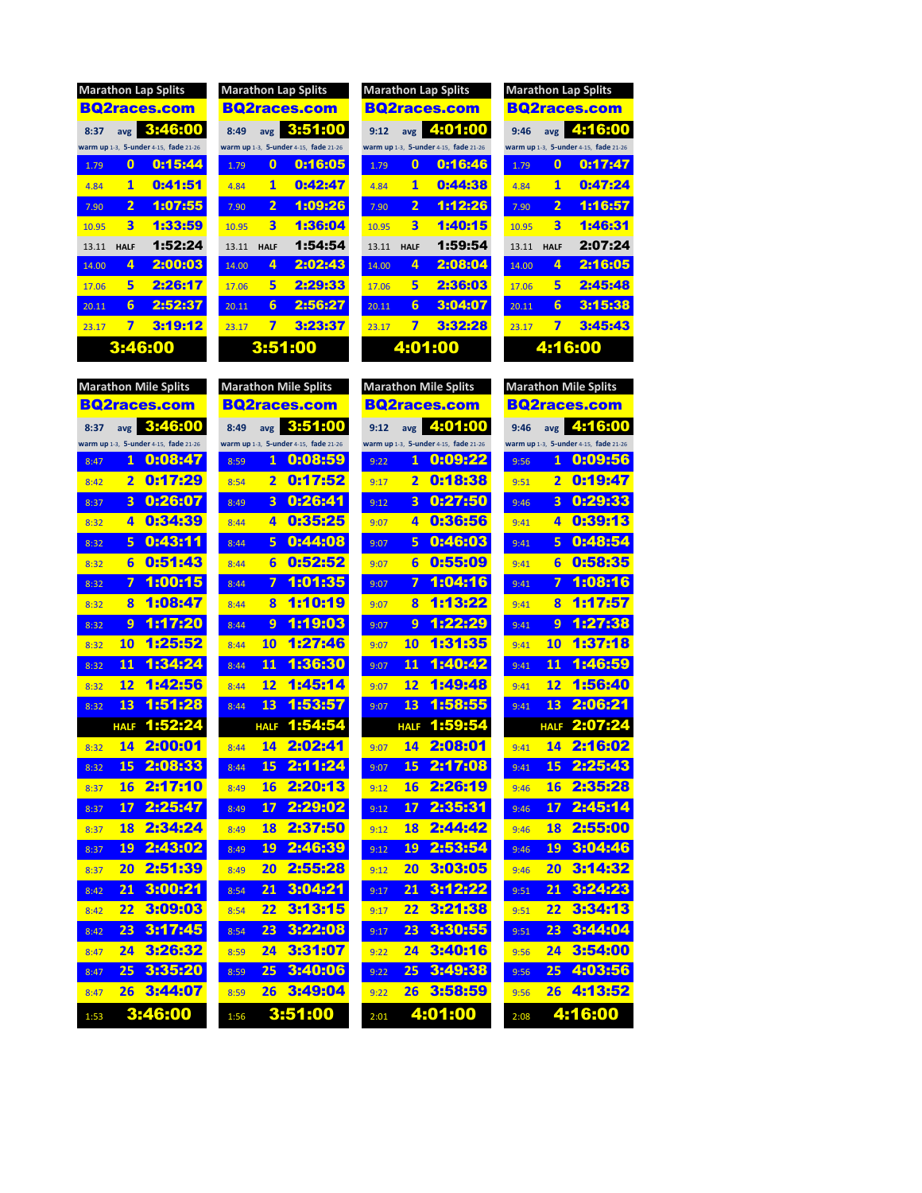| <b>Marathon Lap Splits</b> |             |                                       |  |  |  |  |  |
|----------------------------|-------------|---------------------------------------|--|--|--|--|--|
|                            |             | <b>BQ2races.com</b>                   |  |  |  |  |  |
| 8:37                       |             | avg 3:46:00                           |  |  |  |  |  |
|                            |             | warm up 1-3, 5-under 4-15, fade 21-26 |  |  |  |  |  |
| 1.79                       | 0           | 0:15:44                               |  |  |  |  |  |
| 4.84                       | 1           | 0:41:51                               |  |  |  |  |  |
| 7.90                       | 2           | 1:07:55                               |  |  |  |  |  |
| 10.95                      | 3           | 1:33:59                               |  |  |  |  |  |
| 13.11                      | <b>HALF</b> | 1:52:24                               |  |  |  |  |  |
| 14.00                      | 4           | 2:00:03                               |  |  |  |  |  |
| 17.06                      | 5           | 2:26:17                               |  |  |  |  |  |
| 20.11                      | 6           | 2:52:37                               |  |  |  |  |  |
| 23.17                      | 7           | 3:19:12                               |  |  |  |  |  |
| 3:46:00                    |             |                                       |  |  |  |  |  |

|            |              | <b>Marathon Lap Splits</b>            |                 |
|------------|--------------|---------------------------------------|-----------------|
|            |              | <b>BQ2races.com</b>                   | в               |
| 8:49       | avg          | 3:51:00                               | 9               |
|            |              | warm up 1-3, 5-under 4-15, fade 21-26 | war             |
| 1.79       | 0            | 0:16:05                               | $\overline{1}$  |
| 4.84       | 1            | 0:42:47                               | 4               |
| 7.90       | $\mathbf{2}$ | 1:09:26                               | $\overline{7}$  |
| 10.95      | 3            | 1:36:04                               | $\overline{10}$ |
| 13.11 HALF |              | 1:54:54                               | 1:              |
| 14.00      | 4            | 2:02:43                               | 14              |
| 17.06      | 5            | 2:29:33                               | $1^{\circ}$     |
| 20.11      | 6            | 2:56:27                               | $\overline{2}$  |
| 23.17      | 7            | 3:23:37                               | 2 <sup>3</sup>  |
|            |              | 3:51:00                               |                 |

|       | <b>Marathon Lap Splits</b><br><b>Marathon Lap Splits</b> |                                       |       |                         |                                       | <b>Marathon Lap Splits</b> |                         |                                       | <b>Marathon Lap Splits</b> |                         |                                       |
|-------|----------------------------------------------------------|---------------------------------------|-------|-------------------------|---------------------------------------|----------------------------|-------------------------|---------------------------------------|----------------------------|-------------------------|---------------------------------------|
|       |                                                          | <b>BQ2races.com</b>                   |       |                         | <b>BQ2races.com</b>                   |                            |                         | <b>BQ2races.com</b>                   |                            |                         | <b>BQ2races.com</b>                   |
| 8:37  | avg                                                      | 3:46:00                               | 8:49  | avg                     | 3:51:00                               | 9:12                       | avg                     | 4:01:00                               | 9:46                       | avg                     | 4:16:00                               |
|       |                                                          | warm up 1-3, 5-under 4-15, fade 21-26 |       |                         | warm up 1-3. 5-under 4-15. fade 21-26 |                            |                         | warm up 1-3. 5-under 4-15. fade 21-26 |                            |                         | warm up 1-3. 5-under 4-15. fade 21-26 |
| 1.79  | $\mathbf{0}$                                             | 0:15:44                               | 1.79  | 0                       | 0:16:05                               | 1.79                       | $\mathbf{0}$            | 0:16:46                               | 1.79                       | $\mathbf{0}$            | 0:17:47                               |
| 4.84  | $\mathbf{1}$                                             | 0:41:51                               | 4.84  | $\mathbf{1}$            | 0:42:47                               | 4.84                       | 1                       | 0:44:38                               | 484                        | 1                       | 0:47:24                               |
| 7.90  | $\overline{2}$                                           | 1:07:55                               | 7.90  | $\overline{2}$          | 1:09:26                               | 7.90                       | $\overline{2}$          | 1:12:26                               | 7.90                       | $\overline{2}$          | 1:16:57                               |
| 10.95 | $\overline{\mathbf{3}}$                                  | 1:33:59                               | 10.95 | $\overline{\mathbf{3}}$ | 1:36:04                               | 10.95                      | $\overline{\mathbf{3}}$ | 1:40:15                               | 10.95                      | $\overline{\mathbf{3}}$ | 1:46:31                               |
| 13.11 | <b>HALF</b>                                              | 1:52:24                               | 13.11 | <b>HALF</b>             | 1:54:54                               | 13.11                      | <b>HALF</b>             | 1:59:54                               | 13.11                      | <b>HALF</b>             | 2:07:24                               |
| 14.00 | 4                                                        | 2:00:03                               | 14.00 | 4                       | 2:02:43                               | 14.00                      | 4                       | 2:08:04                               | 14.00                      | 4                       | 2:16:05                               |
| 17.06 | 5                                                        | 2:26:17                               | 17.06 | 5                       | 2:29:33                               | 17.06                      | 5                       | 2:36:03                               | 17.06                      | 5                       | 2:45:48                               |
| 20.11 | 6                                                        | 2:52:37                               | 20.11 | 6                       | 2:56:27                               | 20.11                      | 6                       | 3:04:07                               | 20.11                      | 6                       | 3:15:38                               |
| 23.17 | 7                                                        | 3:19:12                               | 23.17 | 7                       | 3:23:37                               | 23.17                      | 7                       | 3:32:28                               | 23.17                      | 7                       | 3:45:43                               |
|       |                                                          | 3:46:00                               |       | 3:51:00                 |                                       |                            |                         | 4:01:00                               |                            |                         | 4:16:00                               |

| <b>Marathon Mile Splits</b>           | <b>Marathon Mile Splits</b>           | <b>Marathon Mile Splits</b>           | <b>Marathon Mile Splits</b>           |  |  |
|---------------------------------------|---------------------------------------|---------------------------------------|---------------------------------------|--|--|
| <b>BQ2races.com</b>                   | <b>BQ2races.com</b>                   | <b>BQ2races.com</b>                   | <b>BQ2races.com</b>                   |  |  |
| 3:46:00                               | 3:51:00                               | 4:01:00                               | 4:16:00                               |  |  |
| 8:37                                  | 8:49                                  | 9:12                                  | 9:46                                  |  |  |
| avg                                   | avg                                   | avg                                   | avg                                   |  |  |
| warm up 1-3, 5-under 4-15, fade 21-26 | warm up 1-3, 5-under 4-15, fade 21-26 | warm up 1-3, 5-under 4-15, fade 21-26 | warm up 1-3, 5-under 4-15, fade 21-26 |  |  |
| 0:08:47                               | 0:08:59                               | 0:09:22                               | 0:09:56                               |  |  |
| 1                                     | 1                                     | 1                                     | 1                                     |  |  |
| 8:47                                  | 8:59                                  | 9:22                                  | 9:56                                  |  |  |
| 0:17:29                               | 0:17:52                               | 0:18:38                               | 0:19:47                               |  |  |
| $\overline{\mathbf{2}}$               | $\overline{\mathbf{2}}$               | 2                                     | $\overline{\mathbf{2}}$               |  |  |
| 8:42                                  | 8:54                                  | 9:17                                  | 9:51                                  |  |  |
| 0:26:07                               | 0:26:41                               | 0:27:50                               | 0:29:33                               |  |  |
| 3                                     | 3                                     | 3                                     | $\overline{\mathbf{3}}$               |  |  |
| 8:37                                  | 8:49                                  | 9:12                                  | 9:46                                  |  |  |
| 0:34:39                               | 0:35:25                               | 0:36:56                               | 0:39:13                               |  |  |
| 4                                     | 4                                     | 4                                     | 4                                     |  |  |
| 8:32                                  | 8:44                                  | 9:07                                  | 9:41                                  |  |  |
| 0:43:11                               | 0:44:08                               | 0:46:03                               | 0:48:54                               |  |  |
| 5                                     | 5                                     | 5                                     | 5                                     |  |  |
| 8:32                                  | 8:44                                  | 9:07                                  | 9:41                                  |  |  |
| 0:51:43                               | 0:52:52                               | 0:55:09                               | 0:58:35                               |  |  |
| 6                                     | 6                                     | 6                                     | 6                                     |  |  |
| 8:32                                  | 8:44                                  | 9:07                                  | 9:41                                  |  |  |
| 1:00:15                               | 1:01:35                               | 1:04:16                               | 1:08:16                               |  |  |
| 7                                     | 7                                     | 7                                     | 7                                     |  |  |
| 8:32                                  | 8:44                                  | 9:07                                  | 9:41                                  |  |  |
| 1:08:47                               | 1:10:19                               | 1:13:22                               | 1:17:57                               |  |  |
| 8                                     | 8                                     | 8                                     | 8                                     |  |  |
| 8:32                                  | 8:44                                  | 9:07                                  | 9:41                                  |  |  |
| 1:17:20                               | 1:19:03                               | 1:22:29                               | 1:27:38                               |  |  |
| 9                                     | 9                                     | 9                                     | 9                                     |  |  |
| 8:32                                  | 8:44                                  | 9:07                                  | 9:41                                  |  |  |
| 1:25:52                               | 1:27:46                               | 1:31:35                               | 1:37:18                               |  |  |
| 10                                    | 10                                    | 10                                    | 10                                    |  |  |
| 8:32                                  | 8:44                                  | 9:07                                  | 9:41                                  |  |  |
| 1:34:24                               | 1:36:30                               | 1:40:42                               | 1:46:59                               |  |  |
| 11                                    | 11                                    | 11                                    | 11                                    |  |  |
| 8:32                                  | 8:44                                  | 9:07                                  | 9:41                                  |  |  |
| 1:42:56                               | 1:45:14                               | 1:49:48                               | 1:56:40                               |  |  |
| 12                                    | 12                                    | 12                                    | 12                                    |  |  |
| 8:32                                  | 8:44                                  | 9:07                                  | 9:41                                  |  |  |
| 1:51:28                               | 1:53:57                               | 1:58:55                               | 2:06:21                               |  |  |
| 13                                    | 13                                    | 13                                    | 13                                    |  |  |
| 8:32                                  | 8:44                                  | 9:07                                  | 9:41                                  |  |  |
| 1:52:24                               | 1:54:54                               | 1:59:54                               | 2:07:24                               |  |  |
| <b>HALF</b>                           | <b>HALF</b>                           | <b>HALF</b>                           | <b>HALF</b>                           |  |  |
| 2:00:01                               | 2:02:41                               | 2:08:01                               | 2:16:02                               |  |  |
| 14                                    | 14                                    | 14                                    | 14                                    |  |  |
| 8:32                                  | 8:44                                  | 9:07                                  | 9:41                                  |  |  |
| 2:08:33                               | 2:11:24                               | 2:17:08                               | 2:25:43                               |  |  |
| 15                                    | 15                                    | 15                                    | 15                                    |  |  |
| 8:32                                  | 8:44                                  | 9:07                                  | 9:41                                  |  |  |
| 2:17:10                               | 2:20:13                               | 2:26:19                               | 2:35:28                               |  |  |
| 16                                    | 16                                    | 16                                    | 16                                    |  |  |
| 8:37                                  | 8:49                                  | 9:12                                  | 9:46                                  |  |  |
| 2:25:47                               | 2:29:02                               | 2:35:31                               | 2:45:14                               |  |  |
| 17                                    | 17                                    | 17                                    | 17                                    |  |  |
| 8:37                                  | 8:49                                  | 9:12                                  | 9:46                                  |  |  |
| 2:34:24                               | 2:37:50                               | 2:44:42                               | 2:55:00                               |  |  |
| 18                                    | 18                                    | 18                                    | 18                                    |  |  |
| 8:37                                  | 8:49                                  | 9:12                                  | 9:46                                  |  |  |
| 2:43:02                               | 2:46:39                               | 2:53:54                               | 3:04:46                               |  |  |
| 19                                    | 19                                    | 19                                    | 19                                    |  |  |
| 8:37                                  | 8:49                                  | 9:12                                  | 9:46                                  |  |  |
| 2:51:39                               | 2:55:28                               | 3:03:05                               | 3:14:32                               |  |  |
| 20                                    | 20                                    | 20                                    | 20                                    |  |  |
| 8:37                                  | 8:49                                  | 9:12                                  | 9:46                                  |  |  |
| 3:00:21                               | 3:04:21                               | 3:12:22                               | 3:24:23                               |  |  |
| 21                                    | 21                                    | 21                                    | 21                                    |  |  |
| 8:42                                  | 8:54                                  | 9:17                                  | 9:51                                  |  |  |
| 3:09:03                               | 3:13:15                               | 3:21:38                               | 3:34:13                               |  |  |
| 22                                    | 22                                    | 22                                    | 22                                    |  |  |
| 8:42                                  | 8:54                                  | 9:17                                  | 9:51                                  |  |  |
| 3:17:45                               | 3:22:08                               | 3:30:55                               | 3:44:04                               |  |  |
| 23                                    | 23                                    | 23                                    | 23                                    |  |  |
| 8:42                                  | 8:54                                  | 9:17                                  | 9:51                                  |  |  |
| 3:26:32                               | 3:31:07                               | 3:40:16                               | 3:54:00                               |  |  |
| 24                                    | 24                                    | 24                                    | 24                                    |  |  |
| 8:47                                  | 8:59                                  | 9:22                                  | 9:56                                  |  |  |
| 3:35:20                               | 3:40:06                               | 3:49:38                               | 4:03:56                               |  |  |
| 25                                    | 25                                    | 25                                    | 25                                    |  |  |
| 8:47                                  | 8:59                                  | 9:22                                  | 9:56                                  |  |  |
| 3:44:07                               | 3:49:04                               | 3:58:59                               | 4:13:52                               |  |  |
| 26                                    | 26                                    | 26                                    | 26                                    |  |  |
| 8:47                                  | 8:59                                  | 9:22                                  | 9:56                                  |  |  |
| 3:46:00                               | 3:51:00                               | 4:01:00                               | 4:16:00                               |  |  |
| 1:53                                  | 1:56                                  | 2:01                                  | 2:08                                  |  |  |